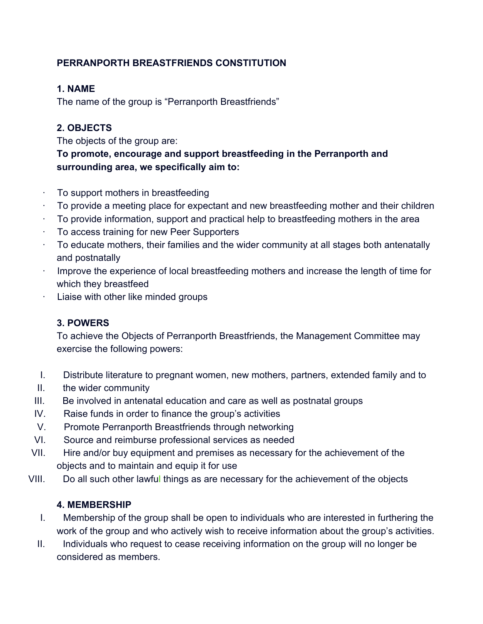# **PERRANPORTH BREASTFRIENDS CONSTITUTION**

### **1. NAME**

The name of the group is "Perranporth Breastfriends"

### **2. OBJECTS**

The objects of the group are:

### **To promote, encourage and support breastfeeding in the Perranporth and surrounding area, we specifically aim to:**

- ∙ To support mothers in breastfeeding
- ∙ To provide a meeting place for expectant and new breastfeeding mother and their children
- To provide information, support and practical help to breastfeeding mothers in the area
- ∙ To access training for new Peer Supporters
- ∙ To educate mothers, their families and the wider community at all stages both antenatally and postnatally
- ∙ Improve the experience of local breastfeeding mothers and increase the length of time for which they breastfeed
- ∙ Liaise with other like minded groups

#### **3. POWERS**

To achieve the Objects of Perranporth Breastfriends, the Management Committee may exercise the following powers:

- I. Distribute literature to pregnant women, new mothers, partners, extended family and to
- II. the wider community
- III. Be involved in antenatal education and care as well as postnatal groups
- IV. Raise funds in order to finance the group's activities
- V. Promote Perranporth Breastfriends through networking
- VI. Source and reimburse professional services as needed
- VII. Hire and/or buy equipment and premises as necessary for the achievement of the objects and to maintain and equip it for use
- VIII. Do all such other lawful things as are necessary for the achievement of the objects

# **4. MEMBERSHIP**

- I. Membership of the group shall be open to individuals who are interested in furthering the work of the group and who actively wish to receive information about the group's activities.
- II. Individuals who request to cease receiving information on the group will no longer be considered as members.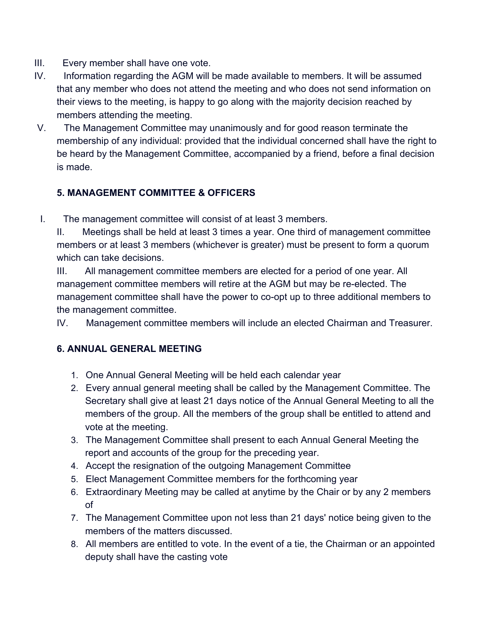- III. Every member shall have one vote.
- IV. Information regarding the AGM will be made available to members. It will be assumed that any member who does not attend the meeting and who does not send information on their views to the meeting, is happy to go along with the majority decision reached by members attending the meeting.
- V. The Management Committee may unanimously and for good reason terminate the membership of any individual: provided that the individual concerned shall have the right to be heard by the Management Committee, accompanied by a friend, before a final decision is made.

# **5. MANAGEMENT COMMITTEE & OFFICERS**

I. The management committee will consist of at least 3 members.

II. Meetings shall be held at least 3 times a year. One third of management committee members or at least 3 members (whichever is greater) must be present to form a quorum which can take decisions.

III. All management committee members are elected for a period of one year. All management committee members will retire at the AGM but may be re-elected. The management committee shall have the power to co-opt up to three additional members to the management committee.

IV. Management committee members will include an elected Chairman and Treasurer.

# **6. ANNUAL GENERAL MEETING**

- 1. One Annual General Meeting will be held each calendar year
- 2. Every annual general meeting shall be called by the Management Committee. The Secretary shall give at least 21 days notice of the Annual General Meeting to all the members of the group. All the members of the group shall be entitled to attend and vote at the meeting.
- 3. The Management Committee shall present to each Annual General Meeting the report and accounts of the group for the preceding year.
- 4. Accept the resignation of the outgoing Management Committee
- 5. Elect Management Committee members for the forthcoming year
- 6. Extraordinary Meeting may be called at anytime by the Chair or by any 2 members of
- 7. The Management Committee upon not less than 21 days' notice being given to the members of the matters discussed.
- 8. All members are entitled to vote. In the event of a tie, the Chairman or an appointed deputy shall have the casting vote